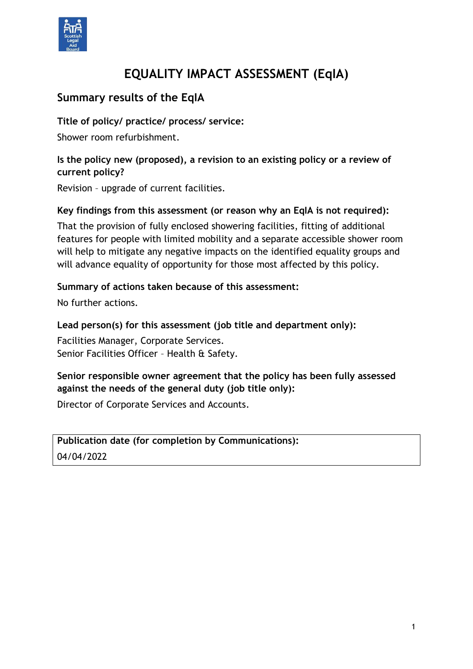

# **EQUALITY IMPACT ASSESSMENT (EqIA)**

# **Summary results of the EqIA**

**Title of policy/ practice/ process/ service:**

Shower room refurbishment.

### **Is the policy new (proposed), a revision to an existing policy or a review of current policy?**

Revision – upgrade of current facilities.

#### **Key findings from this assessment (or reason why an EqIA is not required):**

That the provision of fully enclosed showering facilities, fitting of additional features for people with limited mobility and a separate accessible shower room will help to mitigate any negative impacts on the identified equality groups and will advance equality of opportunity for those most affected by this policy.

#### **Summary of actions taken because of this assessment:**

No further actions.

#### **Lead person(s) for this assessment (job title and department only):**

Facilities Manager, Corporate Services. Senior Facilities Officer - Health & Safety.

### **Senior responsible owner agreement that the policy has been fully assessed against the needs of the general duty (job title only):**

Director of Corporate Services and Accounts.

### **Publication date (for completion by Communications):** 04/04/2022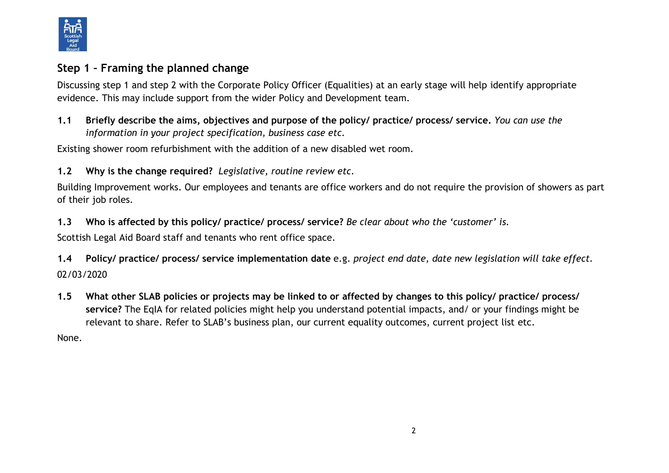

# **Step 1 – Framing the planned change**

Discussing step 1 and step 2 with the Corporate Policy Officer (Equalities) at an early stage will help identify appropriate evidence. This may include support from the wider Policy and Development team.

**1.1 Briefly describe the aims, objectives and purpose of the policy/ practice/ process/ service.** *You can use the information in your project specification, business case etc.* 

Existing shower room refurbishment with the addition of a new disabled wet room.

**1.2 Why is the change required?** *Legislative, routine review etc.*

Building Improvement works. Our employees and tenants are office workers and do not require the provision of showers as part of their job roles.

**1.3 Who is affected by this policy/ practice/ process/ service?** *Be clear about who the 'customer' is.*

Scottish Legal Aid Board staff and tenants who rent office space.

**1.4 Policy/ practice/ process/ service implementation date** e.g. *project end date, date new legislation will take effect.* 02/03/2020

**1.5 What other SLAB policies or projects may be linked to or affected by changes to this policy/ practice/ process/ service?** The EqIA for related policies might help you understand potential impacts, and/ or your findings might be relevant to share. Refer to SLAB's business plan, our current equality outcomes, current project list etc.

None.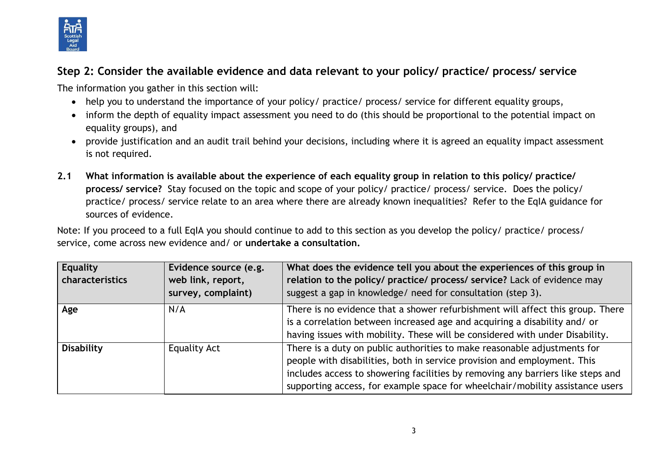

# **Step 2: Consider the available evidence and data relevant to your policy/ practice/ process/ service**

The information you gather in this section will:

- help you to understand the importance of your policy/ practice/ process/ service for different equality groups,
- inform the depth of equality impact assessment you need to do (this should be proportional to the potential impact on equality groups), and
- provide justification and an audit trail behind your decisions, including where it is agreed an equality impact assessment is not required.
- **2.1 What information is available about the experience of each equality group in relation to this policy/ practice/ process/ service?** Stay focused on the topic and scope of your policy/ practice/ process/ service. Does the policy/ practice/ process/ service relate to an area where there are already known inequalities? Refer to the EqIA guidance for sources of evidence.

Note: If you proceed to a full EqIA you should continue to add to this section as you develop the policy/ practice/ process/ service, come across new evidence and/ or **undertake a consultation.**

| Equality<br>characteristics | Evidence source (e.g.<br>web link, report,<br>survey, complaint) | What does the evidence tell you about the experiences of this group in<br>relation to the policy/ practice/ process/ service? Lack of evidence may<br>suggest a gap in knowledge/ need for consultation (step 3).                                                                                                        |
|-----------------------------|------------------------------------------------------------------|--------------------------------------------------------------------------------------------------------------------------------------------------------------------------------------------------------------------------------------------------------------------------------------------------------------------------|
| Age                         | N/A                                                              | There is no evidence that a shower refurbishment will affect this group. There<br>is a correlation between increased age and acquiring a disability and/ or<br>having issues with mobility. These will be considered with under Disability.                                                                              |
| <b>Disability</b>           | <b>Equality Act</b>                                              | There is a duty on public authorities to make reasonable adjustments for<br>people with disabilities, both in service provision and employment. This<br>includes access to showering facilities by removing any barriers like steps and<br>supporting access, for example space for wheelchair/mobility assistance users |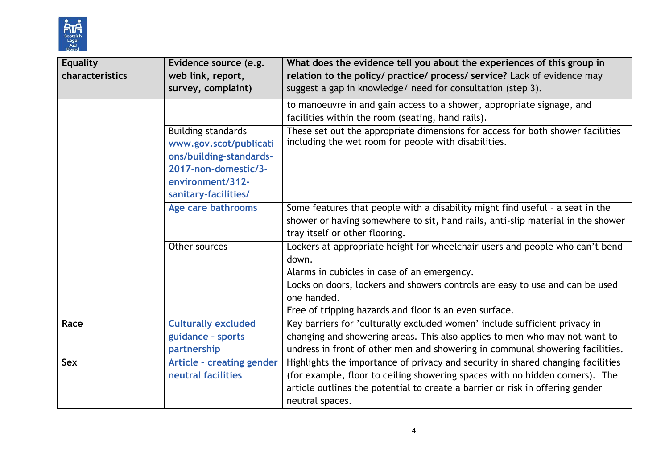

| <b>Equality</b><br>characteristics | Evidence source (e.g.<br>web link, report,<br>survey, complaint)                                                                                   | What does the evidence tell you about the experiences of this group in<br>relation to the policy/ practice/ process/ service? Lack of evidence may<br>suggest a gap in knowledge/ need for consultation (step 3).                                                                             |
|------------------------------------|----------------------------------------------------------------------------------------------------------------------------------------------------|-----------------------------------------------------------------------------------------------------------------------------------------------------------------------------------------------------------------------------------------------------------------------------------------------|
|                                    |                                                                                                                                                    | to manoeuvre in and gain access to a shower, appropriate signage, and<br>facilities within the room (seating, hand rails).                                                                                                                                                                    |
|                                    | <b>Building standards</b><br>www.gov.scot/publicati<br>ons/building-standards-<br>2017-non-domestic/3-<br>environment/312-<br>sanitary-facilities/ | These set out the appropriate dimensions for access for both shower facilities<br>including the wet room for people with disabilities.                                                                                                                                                        |
|                                    | Age care bathrooms                                                                                                                                 | Some features that people with a disability might find useful - a seat in the<br>shower or having somewhere to sit, hand rails, anti-slip material in the shower<br>tray itself or other flooring.                                                                                            |
|                                    | Other sources                                                                                                                                      | Lockers at appropriate height for wheelchair users and people who can't bend<br>down.<br>Alarms in cubicles in case of an emergency.<br>Locks on doors, lockers and showers controls are easy to use and can be used<br>one handed.<br>Free of tripping hazards and floor is an even surface. |
| Race                               | <b>Culturally excluded</b><br>guidance - sports<br>partnership                                                                                     | Key barriers for 'culturally excluded women' include sufficient privacy in<br>changing and showering areas. This also applies to men who may not want to<br>undress in front of other men and showering in communal showering facilities.                                                     |
| <b>Sex</b>                         | Article - creating gender<br>neutral facilities                                                                                                    | Highlights the importance of privacy and security in shared changing facilities<br>(for example, floor to ceiling showering spaces with no hidden corners). The<br>article outlines the potential to create a barrier or risk in offering gender<br>neutral spaces.                           |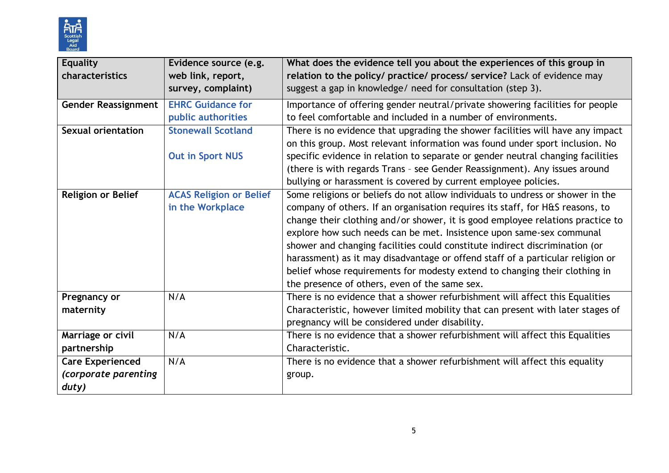

| <b>Equality</b><br>characteristics | Evidence source (e.g.<br>web link, report,      | What does the evidence tell you about the experiences of this group in<br>relation to the policy/ practice/ process/ service? Lack of evidence may |
|------------------------------------|-------------------------------------------------|----------------------------------------------------------------------------------------------------------------------------------------------------|
|                                    | survey, complaint)                              | suggest a gap in knowledge/ need for consultation (step 3).                                                                                        |
| <b>Gender Reassignment</b>         | <b>EHRC Guidance for</b>                        | Importance of offering gender neutral/private showering facilities for people<br>to feel comfortable and included in a number of environments.     |
| <b>Sexual orientation</b>          | public authorities<br><b>Stonewall Scotland</b> | There is no evidence that upgrading the shower facilities will have any impact                                                                     |
|                                    |                                                 | on this group. Most relevant information was found under sport inclusion. No                                                                       |
|                                    | <b>Out in Sport NUS</b>                         | specific evidence in relation to separate or gender neutral changing facilities                                                                    |
|                                    |                                                 | (there is with regards Trans - see Gender Reassignment). Any issues around                                                                         |
|                                    |                                                 | bullying or harassment is covered by current employee policies.                                                                                    |
| <b>Religion or Belief</b>          | <b>ACAS Religion or Belief</b>                  | Some religions or beliefs do not allow individuals to undress or shower in the                                                                     |
|                                    | in the Workplace                                | company of others. If an organisation requires its staff, for H&S reasons, to                                                                      |
|                                    |                                                 | change their clothing and/or shower, it is good employee relations practice to                                                                     |
|                                    |                                                 | explore how such needs can be met. Insistence upon same-sex communal                                                                               |
|                                    |                                                 | shower and changing facilities could constitute indirect discrimination (or                                                                        |
|                                    |                                                 | harassment) as it may disadvantage or offend staff of a particular religion or                                                                     |
|                                    |                                                 | belief whose requirements for modesty extend to changing their clothing in                                                                         |
|                                    |                                                 | the presence of others, even of the same sex.                                                                                                      |
| Pregnancy or                       | N/A                                             | There is no evidence that a shower refurbishment will affect this Equalities                                                                       |
| maternity                          |                                                 | Characteristic, however limited mobility that can present with later stages of                                                                     |
|                                    |                                                 | pregnancy will be considered under disability.                                                                                                     |
| Marriage or civil                  | N/A                                             | There is no evidence that a shower refurbishment will affect this Equalities                                                                       |
| partnership                        |                                                 | Characteristic.                                                                                                                                    |
| <b>Care Experienced</b>            | N/A                                             | There is no evidence that a shower refurbishment will affect this equality                                                                         |
| (corporate parenting               |                                                 | group.                                                                                                                                             |
| duty)                              |                                                 |                                                                                                                                                    |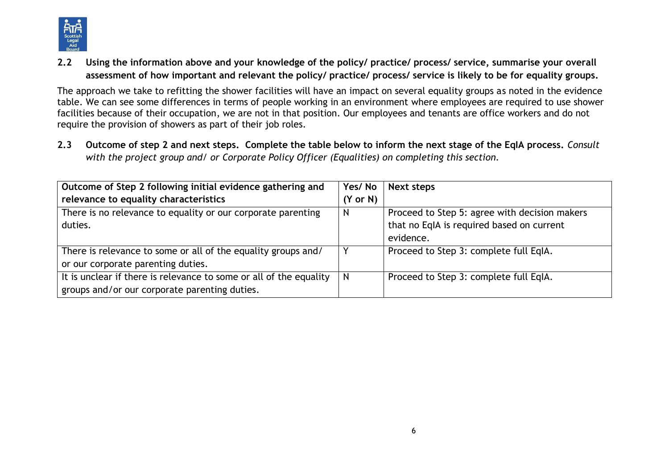

**2.2 Using the information above and your knowledge of the policy/ practice/ process/ service, summarise your overall assessment of how important and relevant the policy/ practice/ process/ service is likely to be for equality groups.**

The approach we take to refitting the shower facilities will have an impact on several equality groups as noted in the evidence table. We can see some differences in terms of people working in an environment where employees are required to use shower facilities because of their occupation, we are not in that position. Our employees and tenants are office workers and do not require the provision of showers as part of their job roles.

**2.3 Outcome of step 2 and next steps. Complete the table below to inform the next stage of the EqIA process.** *Consult with the project group and/ or Corporate Policy Officer (Equalities) on completing this section.*

| Outcome of Step 2 following initial evidence gathering and         | Yes/No              | Next steps                                    |
|--------------------------------------------------------------------|---------------------|-----------------------------------------------|
| relevance to equality characteristics                              | $(Y \text{ or } N)$ |                                               |
| There is no relevance to equality or our corporate parenting       | N                   | Proceed to Step 5: agree with decision makers |
| duties.                                                            |                     | that no EqIA is required based on current     |
|                                                                    |                     | evidence.                                     |
| There is relevance to some or all of the equality groups and/      |                     | Proceed to Step 3: complete full EqIA.        |
| or our corporate parenting duties.                                 |                     |                                               |
| It is unclear if there is relevance to some or all of the equality | N                   | Proceed to Step 3: complete full EqIA.        |
| groups and/or our corporate parenting duties.                      |                     |                                               |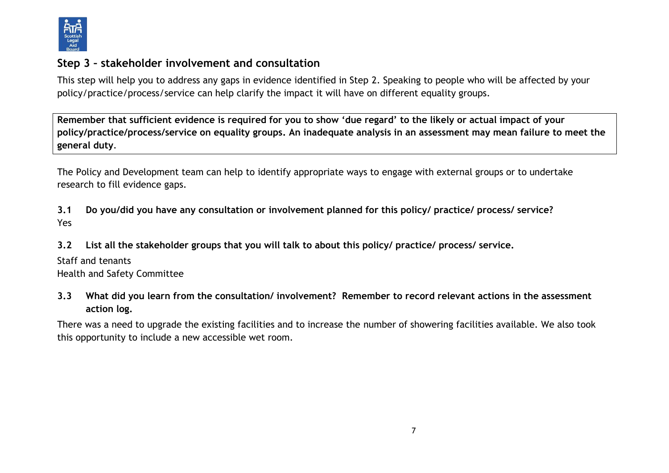

### **Step 3 – stakeholder involvement and consultation**

This step will help you to address any gaps in evidence identified in Step 2. Speaking to people who will be affected by your policy/practice/process/service can help clarify the impact it will have on different equality groups.

**Remember that sufficient evidence is required for you to show 'due regard' to the likely or actual impact of your policy/practice/process/service on equality groups. An inadequate analysis in an assessment may mean failure to meet the general duty**.

The Policy and Development team can help to identify appropriate ways to engage with external groups or to undertake research to fill evidence gaps.

**3.1 Do you/did you have any consultation or involvement planned for this policy/ practice/ process/ service?**  Yes

**3.2 List all the stakeholder groups that you will talk to about this policy/ practice/ process/ service.** 

Staff and tenants Health and Safety Committee

**3.3 What did you learn from the consultation/ involvement? Remember to record relevant actions in the assessment action log.**

There was a need to upgrade the existing facilities and to increase the number of showering facilities available. We also took this opportunity to include a new accessible wet room.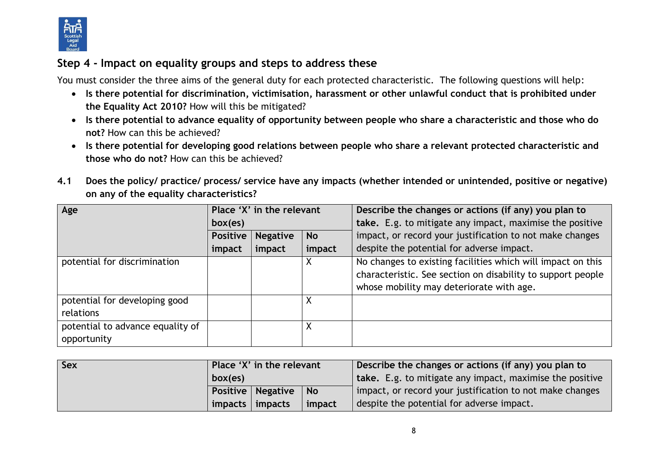

# **Step 4 - Impact on equality groups and steps to address these**

You must consider the three aims of the general duty for each protected characteristic. The following questions will help:

- **Is there potential for discrimination, victimisation, harassment or other unlawful conduct that is prohibited under the Equality Act 2010?** How will this be mitigated?
- **Is there potential to advance equality of opportunity between people who share a characteristic and those who do not?** How can this be achieved?
- **Is there potential for developing good relations between people who share a relevant protected characteristic and those who do not?** How can this be achieved?
- **4.1 Does the policy/ practice/ process/ service have any impacts (whether intended or unintended, positive or negative) on any of the equality characteristics?**

| Age                                             | Place 'X' in the relevant |                 |           | Describe the changes or actions (if any) you plan to                                                                                                                   |
|-------------------------------------------------|---------------------------|-----------------|-----------|------------------------------------------------------------------------------------------------------------------------------------------------------------------------|
|                                                 | box(es)                   |                 |           | take. E.g. to mitigate any impact, maximise the positive                                                                                                               |
|                                                 | <b>Positive</b>           | <b>Negative</b> | <b>No</b> | impact, or record your justification to not make changes                                                                                                               |
|                                                 | impact                    | impact          | impact    | despite the potential for adverse impact.                                                                                                                              |
| potential for discrimination                    |                           |                 |           | No changes to existing facilities which will impact on this<br>characteristic. See section on disability to support people<br>whose mobility may deteriorate with age. |
| potential for developing good<br>relations      |                           |                 |           |                                                                                                                                                                        |
| potential to advance equality of<br>opportunity |                           |                 |           |                                                                                                                                                                        |

| <b>Sex</b> | Place 'X' in the relevant |                                    |        | Describe the changes or actions (if any) you plan to     |
|------------|---------------------------|------------------------------------|--------|----------------------------------------------------------|
|            | box(es)                   |                                    |        | take. E.g. to mitigate any impact, maximise the positive |
|            |                           | <b>Positive   Negative</b><br>  No |        | impact, or record your justification to not make changes |
|            | impacts                   | impacts                            | impact | despite the potential for adverse impact.                |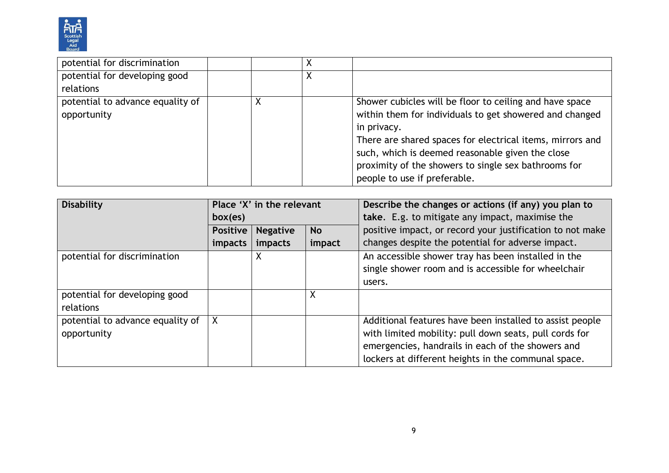

| potential for discrimination     |  |                                                           |
|----------------------------------|--|-----------------------------------------------------------|
| potential for developing good    |  |                                                           |
| relations                        |  |                                                           |
| potential to advance equality of |  | Shower cubicles will be floor to ceiling and have space   |
| opportunity                      |  | within them for individuals to get showered and changed   |
|                                  |  | in privacy.                                               |
|                                  |  | There are shared spaces for electrical items, mirrors and |
|                                  |  | such, which is deemed reasonable given the close          |
|                                  |  | proximity of the showers to single sex bathrooms for      |
|                                  |  | people to use if preferable.                              |

| <b>Disability</b>                               | Place 'X' in the relevant |                 |           | Describe the changes or actions (if any) you plan to                                                                                                                                                                           |
|-------------------------------------------------|---------------------------|-----------------|-----------|--------------------------------------------------------------------------------------------------------------------------------------------------------------------------------------------------------------------------------|
|                                                 | box(es)                   |                 |           | take. E.g. to mitigate any impact, maximise the                                                                                                                                                                                |
|                                                 | <b>Positive</b>           | <b>Negative</b> | <b>No</b> | positive impact, or record your justification to not make                                                                                                                                                                      |
|                                                 | impacts                   | impacts         | impact    | changes despite the potential for adverse impact.                                                                                                                                                                              |
| potential for discrimination                    |                           | х               |           | An accessible shower tray has been installed in the<br>single shower room and is accessible for wheelchair<br>users.                                                                                                           |
| potential for developing good                   |                           |                 | X         |                                                                                                                                                                                                                                |
| relations                                       |                           |                 |           |                                                                                                                                                                                                                                |
| potential to advance equality of<br>opportunity | χ                         |                 |           | Additional features have been installed to assist people<br>with limited mobility: pull down seats, pull cords for<br>emergencies, handrails in each of the showers and<br>lockers at different heights in the communal space. |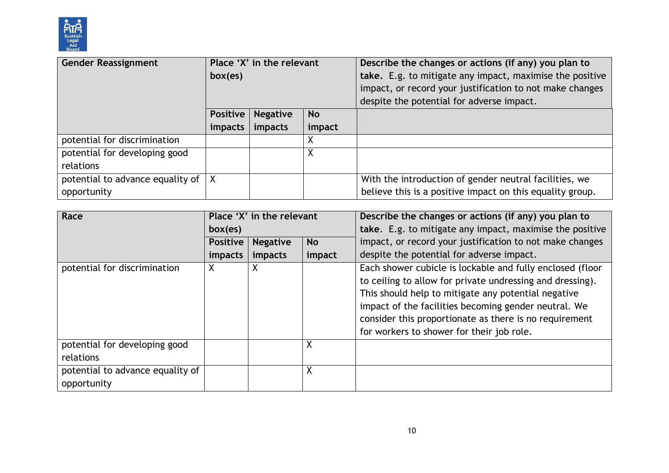

| <b>Gender Reassignment</b>       | Place 'X' in the relevant |                 |           | Describe the changes or actions (if any) you plan to      |
|----------------------------------|---------------------------|-----------------|-----------|-----------------------------------------------------------|
|                                  | box(es)                   |                 |           | take. E.g. to mitigate any impact, maximise the positive  |
|                                  |                           |                 |           | impact, or record your justification to not make changes  |
|                                  |                           |                 |           | despite the potential for adverse impact.                 |
|                                  | Positive                  | <b>Negative</b> | <b>No</b> |                                                           |
|                                  | impacts                   | impacts         | impact    |                                                           |
| potential for discrimination     |                           |                 |           |                                                           |
| potential for developing good    |                           |                 | Χ         |                                                           |
| relations                        |                           |                 |           |                                                           |
| potential to advance equality of |                           |                 |           | With the introduction of gender neutral facilities, we    |
| opportunity                      |                           |                 |           | believe this is a positive impact on this equality group. |

| Race                                            |                 | Place 'X' in the relevant |        | Describe the changes or actions (if any) you plan to                                                                                                                                                                                                                                                                                         |
|-------------------------------------------------|-----------------|---------------------------|--------|----------------------------------------------------------------------------------------------------------------------------------------------------------------------------------------------------------------------------------------------------------------------------------------------------------------------------------------------|
|                                                 | box(es)         |                           |        | take. E.g. to mitigate any impact, maximise the positive                                                                                                                                                                                                                                                                                     |
|                                                 | <b>Positive</b> | <b>Negative</b>           | No     | impact, or record your justification to not make changes                                                                                                                                                                                                                                                                                     |
|                                                 | impacts         | <i>impacts</i>            | impact | despite the potential for adverse impact.                                                                                                                                                                                                                                                                                                    |
| potential for discrimination                    | X               | X                         |        | Each shower cubicle is lockable and fully enclosed (floor<br>to ceiling to allow for private undressing and dressing).<br>This should help to mitigate any potential negative<br>impact of the facilities becoming gender neutral. We<br>consider this proportionate as there is no requirement<br>for workers to shower for their job role. |
| potential for developing good                   |                 |                           | X      |                                                                                                                                                                                                                                                                                                                                              |
| relations                                       |                 |                           |        |                                                                                                                                                                                                                                                                                                                                              |
| potential to advance equality of<br>opportunity |                 |                           | χ      |                                                                                                                                                                                                                                                                                                                                              |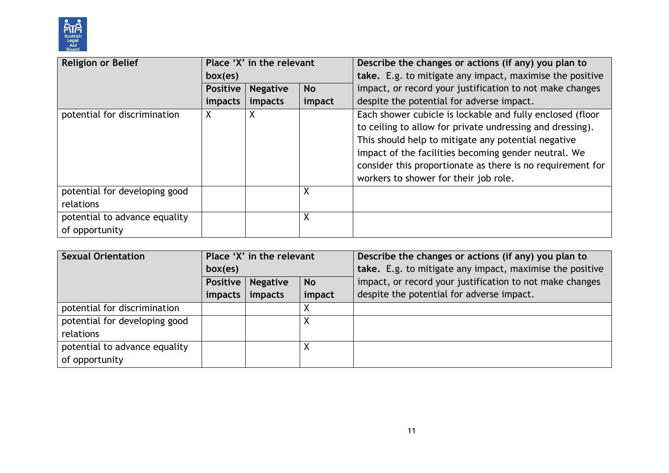

| <b>Religion or Belief</b>                       | Place 'X' in the relevant |                 |           | Describe the changes or actions (if any) you plan to                                                                                                                                                                                                                                                                                         |
|-------------------------------------------------|---------------------------|-----------------|-----------|----------------------------------------------------------------------------------------------------------------------------------------------------------------------------------------------------------------------------------------------------------------------------------------------------------------------------------------------|
|                                                 | box(es)                   |                 |           | take. E.g. to mitigate any impact, maximise the positive                                                                                                                                                                                                                                                                                     |
|                                                 | <b>Positive</b>           | <b>Negative</b> | <b>No</b> | impact, or record your justification to not make changes                                                                                                                                                                                                                                                                                     |
|                                                 | impacts                   | impacts         | impact    | despite the potential for adverse impact.                                                                                                                                                                                                                                                                                                    |
| potential for discrimination                    | X                         | X               |           | Each shower cubicle is lockable and fully enclosed (floor<br>to ceiling to allow for private undressing and dressing).<br>This should help to mitigate any potential negative<br>impact of the facilities becoming gender neutral. We<br>consider this proportionate as there is no requirement for<br>workers to shower for their job role. |
| potential for developing good<br>relations      |                           |                 | X         |                                                                                                                                                                                                                                                                                                                                              |
| potential to advance equality<br>of opportunity |                           |                 | X         |                                                                                                                                                                                                                                                                                                                                              |

| <b>Sexual Orientation</b>     | Place 'X' in the relevant                |         |        | Describe the changes or actions (if any) you plan to     |
|-------------------------------|------------------------------------------|---------|--------|----------------------------------------------------------|
|                               | box(es)                                  |         |        | take. E.g. to mitigate any impact, maximise the positive |
|                               | <b>Negative</b><br>Positive<br><b>No</b> |         |        | impact, or record your justification to not make changes |
|                               | impacts                                  | impacts | impact | despite the potential for adverse impact.                |
| potential for discrimination  |                                          |         |        |                                                          |
| potential for developing good |                                          |         |        |                                                          |
| relations                     |                                          |         |        |                                                          |
| potential to advance equality |                                          |         |        |                                                          |
| of opportunity                |                                          |         |        |                                                          |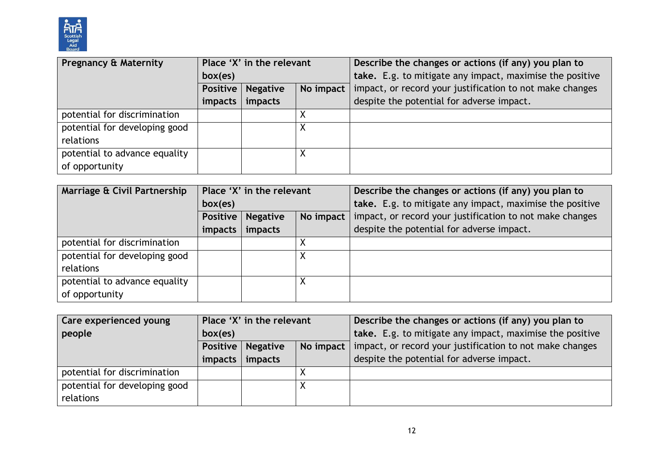

| <b>Pregnancy &amp; Maternity</b> | Place 'X' in the relevant |                              |   | Describe the changes or actions (if any) you plan to     |  |
|----------------------------------|---------------------------|------------------------------|---|----------------------------------------------------------|--|
|                                  | box(es)                   |                              |   | take. E.g. to mitigate any impact, maximise the positive |  |
|                                  | Positive                  | No impact<br><b>Negative</b> |   | impact, or record your justification to not make changes |  |
|                                  | impacts                   | impacts                      |   | despite the potential for adverse impact.                |  |
| potential for discrimination     |                           |                              |   |                                                          |  |
| potential for developing good    |                           |                              | v |                                                          |  |
| relations                        |                           |                              |   |                                                          |  |
| potential to advance equality    |                           |                              |   |                                                          |  |
| of opportunity                   |                           |                              |   |                                                          |  |

| Marriage & Civil Partnership  | Place 'X' in the relevant |                              |  | Describe the changes or actions (if any) you plan to     |  |
|-------------------------------|---------------------------|------------------------------|--|----------------------------------------------------------|--|
|                               | box(es)                   |                              |  | take. E.g. to mitigate any impact, maximise the positive |  |
|                               | Positive                  | No impact<br><b>Negative</b> |  | impact, or record your justification to not make changes |  |
|                               | impacts                   | impacts                      |  | despite the potential for adverse impact.                |  |
| potential for discrimination  |                           |                              |  |                                                          |  |
| potential for developing good |                           |                              |  |                                                          |  |
| relations                     |                           |                              |  |                                                          |  |
| potential to advance equality |                           |                              |  |                                                          |  |
| of opportunity                |                           |                              |  |                                                          |  |

| Care experienced young                     | Place 'X' in the relevant |                            |  | Describe the changes or actions (if any) you plan to                 |  |
|--------------------------------------------|---------------------------|----------------------------|--|----------------------------------------------------------------------|--|
| people                                     | box(es)                   |                            |  | take. E.g. to mitigate any impact, maximise the positive             |  |
|                                            |                           | <b>Positive   Negative</b> |  | No impact   impact, or record your justification to not make changes |  |
|                                            |                           | impacts   impacts          |  | despite the potential for adverse impact.                            |  |
| potential for discrimination               |                           |                            |  |                                                                      |  |
| potential for developing good<br>relations |                           |                            |  |                                                                      |  |
|                                            |                           |                            |  |                                                                      |  |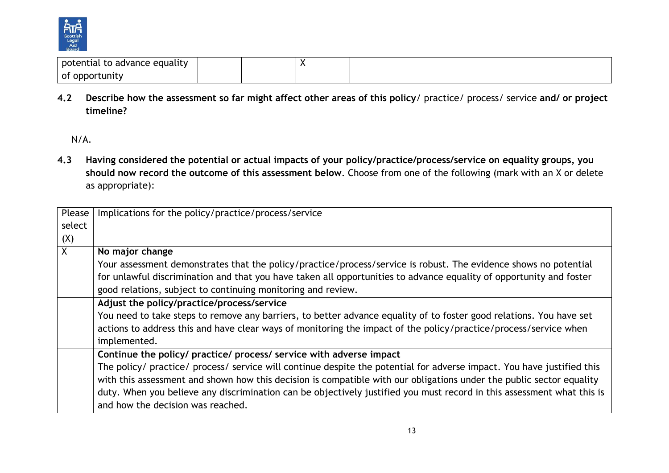

| not<br>equality<br>ance,<br>. Idl -<br>ີ |  |  |
|------------------------------------------|--|--|
| - OT<br>nnr<br>ΊГ<br>uunit "             |  |  |

**4.2 Describe how the assessment so far might affect other areas of this policy**/ practice/ process/ service **and/ or project timeline?** 

**4.3 Having considered the potential or actual impacts of your policy/practice/process/service on equality groups, you should now record the outcome of this assessment below**. Choose from one of the following (mark with an X or delete as appropriate):

| Please         | Implications for the policy/practice/process/service                                                                                                                                                                                                                                                    |
|----------------|---------------------------------------------------------------------------------------------------------------------------------------------------------------------------------------------------------------------------------------------------------------------------------------------------------|
| select         |                                                                                                                                                                                                                                                                                                         |
| (X)            |                                                                                                                                                                                                                                                                                                         |
| $\overline{X}$ | No major change                                                                                                                                                                                                                                                                                         |
|                | Your assessment demonstrates that the policy/practice/process/service is robust. The evidence shows no potential<br>for unlawful discrimination and that you have taken all opportunities to advance equality of opportunity and foster<br>good relations, subject to continuing monitoring and review. |
|                | Adjust the policy/practice/process/service                                                                                                                                                                                                                                                              |
|                | You need to take steps to remove any barriers, to better advance equality of to foster good relations. You have set                                                                                                                                                                                     |
|                | actions to address this and have clear ways of monitoring the impact of the policy/practice/process/service when                                                                                                                                                                                        |
|                | implemented.                                                                                                                                                                                                                                                                                            |
|                | Continue the policy/ practice/ process/ service with adverse impact                                                                                                                                                                                                                                     |
|                | The policy/ practice/ process/ service will continue despite the potential for adverse impact. You have justified this                                                                                                                                                                                  |
|                | with this assessment and shown how this decision is compatible with our obligations under the public sector equality                                                                                                                                                                                    |
|                | duty. When you believe any discrimination can be objectively justified you must record in this assessment what this is                                                                                                                                                                                  |
|                | and how the decision was reached.                                                                                                                                                                                                                                                                       |

N/A.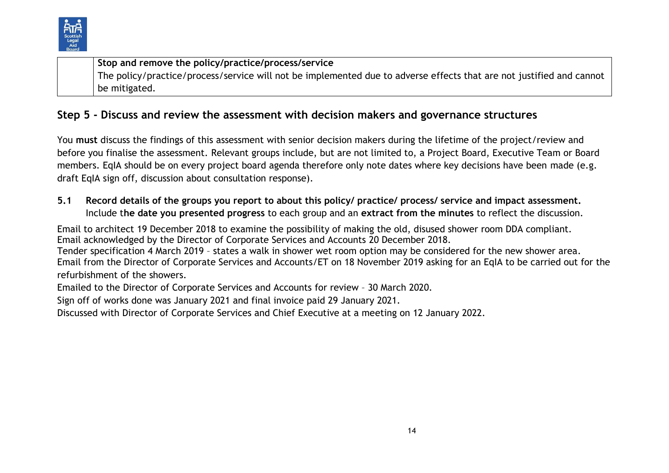

**Stop and remove the policy/practice/process/service** The policy/practice/process/service will not be implemented due to adverse effects that are not justified and cannot be mitigated.

# **Step 5 - Discuss and review the assessment with decision makers and governance structures**

You **must** discuss the findings of this assessment with senior decision makers during the lifetime of the project/review and before you finalise the assessment. Relevant groups include, but are not limited to, a Project Board, Executive Team or Board members. EqIA should be on every project board agenda therefore only note dates where key decisions have been made (e.g. draft EqIA sign off, discussion about consultation response).

### **5.1 Record details of the groups you report to about this policy/ practice/ process/ service and impact assessment.**  Include t**he date you presented progress** to each group and an **extract from the minutes** to reflect the discussion.

Email to architect 19 December 2018 to examine the possibility of making the old, disused shower room DDA compliant. Email acknowledged by the Director of Corporate Services and Accounts 20 December 2018.

Tender specification 4 March 2019 – states a walk in shower wet room option may be considered for the new shower area. Email from the Director of Corporate Services and Accounts/ET on 18 November 2019 asking for an EqIA to be carried out for the refurbishment of the showers.

Emailed to the Director of Corporate Services and Accounts for review – 30 March 2020.

Sign off of works done was January 2021 and final invoice paid 29 January 2021.

Discussed with Director of Corporate Services and Chief Executive at a meeting on 12 January 2022.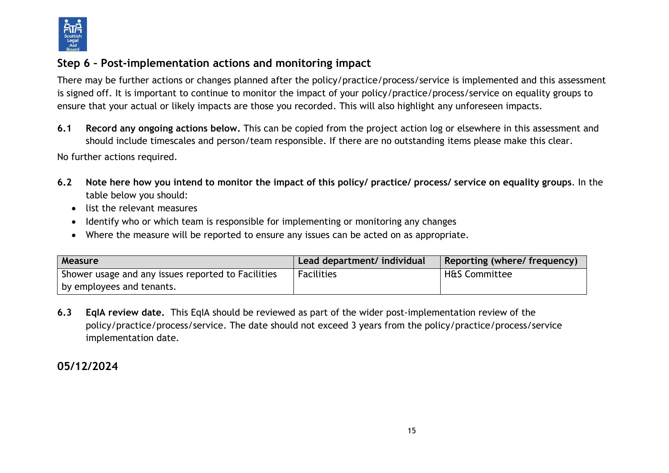

# **Step 6 – Post-implementation actions and monitoring impact**

There may be further actions or changes planned after the policy/practice/process/service is implemented and this assessment is signed off. It is important to continue to monitor the impact of your policy/practice/process/service on equality groups to ensure that your actual or likely impacts are those you recorded. This will also highlight any unforeseen impacts.

**6.1 Record any ongoing actions below.** This can be copied from the project action log or elsewhere in this assessment and should include timescales and person/team responsible. If there are no outstanding items please make this clear.

No further actions required.

- **6.2 Note here how you intend to monitor the impact of this policy/ practice/ process/ service on equality groups**. In the table below you should:
	- list the relevant measures
	- Identify who or which team is responsible for implementing or monitoring any changes
	- Where the measure will be reported to ensure any issues can be acted on as appropriate.

| Measure                                            | Lead department/ individual | Reporting (where/ frequency) |
|----------------------------------------------------|-----------------------------|------------------------------|
| Shower usage and any issues reported to Facilities | <b>Facilities</b>           | <b>H&amp;S Committee</b>     |
| by employees and tenants.                          |                             |                              |

**6.3 EqIA review date.** This EqIA should be reviewed as part of the wider post-implementation review of the policy/practice/process/service. The date should not exceed 3 years from the policy/practice/process/service implementation date.

# **05/12/2024**